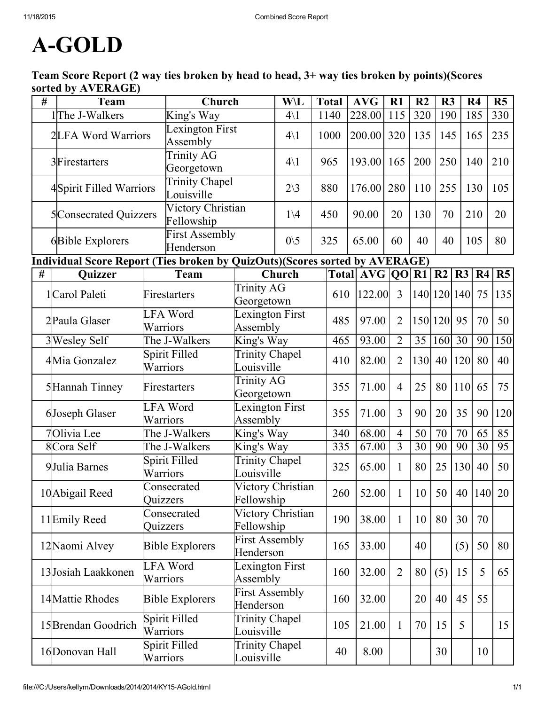# A-GOLD

Team Score Report (2 way ties broken by head to head, 3+ way ties broken by points)(Scores sorted by AVERAGE)

| # | <b>Team</b>                                                                 |                             | Church                                                     |                                     | <b>W</b> \L     | <b>Total</b> | <b>AVG</b>      | R1             | R <sub>2</sub>  | R3              |       | R <sub>4</sub> | R5              |
|---|-----------------------------------------------------------------------------|-----------------------------|------------------------------------------------------------|-------------------------------------|-----------------|--------------|-----------------|----------------|-----------------|-----------------|-------|----------------|-----------------|
|   | 1The J-Walkers                                                              |                             | King's Way                                                 |                                     | $4\backslash1$  | 1140         | 228.00          | 115            | 320             | 190             |       | 185            | 330             |
|   | 2LFA Word Warriors                                                          |                             | Lexington First<br>Assembly                                |                                     | $4\backslash1$  | 1000         | 200.00          | 320            | 135             | 145             |       | 165            | 235             |
|   | 3Firestarters                                                               |                             | <b>Trinity AG</b><br>Georgetown                            |                                     | $4\backslash1$  | 965          | 193.00          | 165            | 200             | 250             |       | 140            | 210             |
|   | 4Spirit Filled Warriors                                                     |                             | <b>Trinity Chapel</b><br>Louisville                        |                                     | $2\backslash 3$ | 880          | 176.00          | 280            | 110             | 255             |       | 130            | 105             |
|   | <b>5</b> Consecrated Quizzers                                               |                             | Victory Christian<br>Fellowship                            |                                     | $1\backslash 4$ | 450          | 90.00           | 20             | 130             | 70              |       | 210            | 20              |
|   | 6Bible Explorers                                                            |                             | <b>First Assembly</b><br>Henderson                         |                                     |                 | 325          | 65.00           | 60             | 40              | 40              |       | 105            | 80              |
|   | Individual Score Report (Ties broken by QuizOuts)(Scores sorted by AVERAGE) |                             |                                                            |                                     |                 |              |                 |                |                 |                 |       |                |                 |
| # | Quizzer                                                                     |                             | <b>Team</b>                                                |                                     | Church          |              | Total AVG QO R1 |                |                 | $\vert$ R2      | R3    | R4             | R <sub>5</sub>  |
|   | 1Carol Paleti                                                               |                             | Firestarters                                               | <b>Trinity AG</b><br>Georgetown     |                 | 610          | 122.00          | $\overline{3}$ | 140   120   140 |                 |       | 75             | 135             |
|   | 2Paula Glaser                                                               |                             | <b>LFA Word</b><br>Warriors                                | Lexington First<br>Assembly         |                 | 485          | 97.00           | $\overline{2}$ | 150 120         |                 | 95    | 70             | 50              |
|   | 3Wesley Self                                                                |                             | The J-Walkers                                              | King's Way                          |                 | 465          | 93.00           | $\overline{2}$ | 35              | 160             | 30    | 90             | 150             |
|   | 4Mia Gonzalez                                                               | Spirit Filled<br>Warriors   |                                                            | <b>Trinity Chapel</b><br>Louisville |                 | 410          | 82.00           | $\overline{2}$ | 130             | 40              | 120   | 80             | 40              |
|   | 5Hannah Tinney                                                              | Firestarters                |                                                            | <b>Trinity AG</b><br>Georgetown     |                 | 355          | 71.00           | $\overline{4}$ | 25              | 80              | $110$ | 65             | 75              |
|   | 6Joseph Glaser                                                              | <b>LFA Word</b><br>Warriors |                                                            | Lexington First<br>Assembly         |                 | 355          | 71.00           | $\overline{3}$ | 90              | 20              | 35    | 90             | 120             |
|   | 7Olivia Lee                                                                 |                             | The J-Walkers                                              | King's Way                          |                 | 340          | 68.00           | $\overline{4}$ | 50              | 70              | 70    | 65             | 85              |
|   | 8Cora Self                                                                  |                             | The J-Walkers                                              | King's Way                          |                 | 335          | 67.00           | 3              | 30              | 90              | 90    | 30             | $\overline{95}$ |
|   | <b>9</b> Julia Barnes                                                       |                             | Spirit Filled<br>Warriors                                  | <b>Trinity Chapel</b><br>Louisville |                 | 325          | 65.00           | $\mathbf{1}$   | 80              | 25              | 130   | 40             | 50              |
|   | 10 Abigail Reed                                                             |                             | Consecrated<br>Quizzers                                    | Victory Christian<br>Fellowship     |                 |              | 260   52.00     | $\mathbf{1}$   | 10 <sup>1</sup> | 50 <sup>°</sup> |       | 40   140   20  |                 |
|   | 11 Emily Reed                                                               |                             | Consecrated<br>Quizzers                                    | Victory Christian<br>Fellowship     |                 | 190          | 38.00           | $\mathbf{1}$   | 10              | 80              | 30    | 70             |                 |
|   | 12 Naomi Alvey                                                              |                             | <b>Bible Explorers</b>                                     | <b>First Assembly</b><br>Henderson  |                 | 165          | 33.00           |                | 40              |                 | (5)   | 50             | 80              |
|   | 13 Josiah Laakkonen                                                         |                             | Lexington First<br><b>LFA Word</b><br>Warriors<br>Assembly |                                     |                 | 160          | 32.00           | $\overline{2}$ | 80              | (5)             | 15    | 5              | 65              |
|   | 14 Mattie Rhodes                                                            |                             | <b>Bible Explorers</b>                                     | <b>First Assembly</b><br>Henderson  |                 | 160          | 32.00           |                | 20              | 40              | 45    | 55             |                 |
|   | 15 Brendan Goodrich                                                         |                             | Spirit Filled<br>Warriors                                  | <b>Trinity Chapel</b><br>Louisville |                 | 105          | 21.00           | $\mathbf{1}$   | 70              | 15              | 5     |                | 15              |
|   | 16 Donovan Hall                                                             |                             | Spirit Filled<br>Warriors                                  | <b>Trinity Chapel</b><br>Louisville |                 | 40           | 8.00            |                |                 | 30              |       | 10             |                 |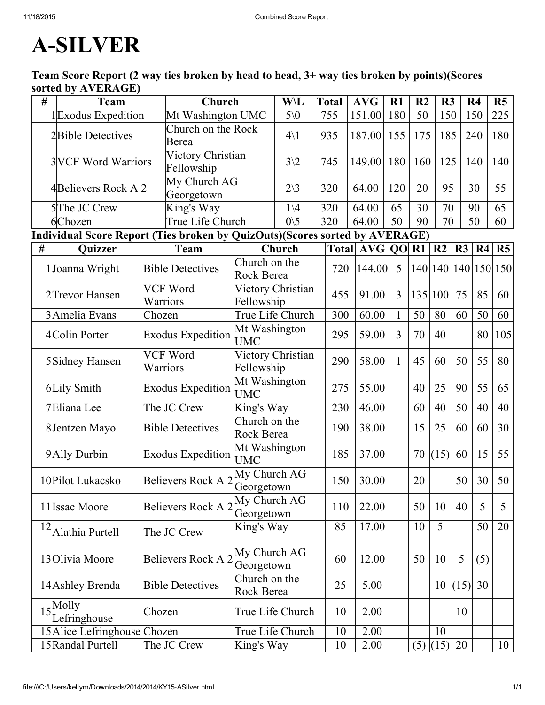### ASILVER

#### Team Score Report (2 way ties broken by head to head, 3+ way ties broken by points)(Scores sorted by AVERAGE)

| #  | <b>Team</b>                                                                 |                      | Church                          |                                 | <b>W\L</b>      | Total |              | <b>AVG</b>      | $R1$           | R <sub>2</sub> | R3             |            | R <sub>4</sub> | R5                  |
|----|-----------------------------------------------------------------------------|----------------------|---------------------------------|---------------------------------|-----------------|-------|--------------|-----------------|----------------|----------------|----------------|------------|----------------|---------------------|
|    | 1<br><b>Exodus Expedition</b>                                               |                      | Mt Washington UMC               |                                 | $5\sqrt{0}$     |       | 755          | 151.00          | 180            | 50             |                | 150<br>150 |                | 225                 |
|    | 2Bible Detectives                                                           |                      | Church on the Rock<br>Berea     |                                 | $4\backslash1$  |       | 935          | 187.00          | 155            | 175            | 185            |            | 240            | 180                 |
|    | <b>3VCF Word Warriors</b>                                                   |                      | Victory Christian<br>Fellowship |                                 | $3\sqrt{2}$     |       | 745          | 149.00          | 180            | 160            | 125            |            | 140            | 140                 |
|    | 4Believers Rock A 2                                                         |                      | My Church AG<br>Georgetown      |                                 | $2\backslash 3$ |       | 320          | 64.00           | 120            | 20             | 95             |            | 30             | 55                  |
|    | 5The JC Crew                                                                |                      | King's Way                      |                                 | $1\backslash 4$ |       | 320          | 64.00           | 65             | 30             | 70             |            | 90             | 65                  |
|    | 6Chozen                                                                     |                      | True Life Church                |                                 | $0\backslash 5$ |       | 320          | 64.00           | 50             | 90             |                | 50<br>70   |                | 60                  |
|    | Individual Score Report (Ties broken by QuizOuts)(Scores sorted by AVERAGE) |                      |                                 |                                 |                 |       |              |                 |                |                |                |            |                |                     |
| #  | <b>Quizzer</b>                                                              |                      | Team                            |                                 | Church          |       |              | Total AVG QO R1 |                |                | R <sub>2</sub> | R3         | R4             | R <sub>5</sub>      |
|    | 1Joanna Wright                                                              |                      | <b>Bible Detectives</b>         | Church on the<br>Rock Berea     |                 |       | 720          | 144.00          | 5              |                |                |            |                | 140 140 140 150 150 |
|    | 2Trevor Hansen                                                              | Warriors             | VCF Word                        | Victory Christian<br>Fellowship |                 |       | 455          | 91.00           | $\overline{3}$ |                | 135 100        | 75         | 85             | 60                  |
|    | 3Amelia Evans                                                               | Chozen               |                                 | True Life Church                |                 |       | 300          | 60.00           | $\mathbf{1}$   | 50             | 80             | 60         | 50             | 60                  |
|    | 4Colin Porter                                                               |                      | <b>Exodus Expedition</b>        | Mt Washington<br><b>UMC</b>     |                 |       | 295<br>59.00 |                 | $\overline{3}$ | 70             | 40             |            | 80             | 105                 |
|    | 5 Sidney Hansen                                                             | VCF Word<br>Warriors |                                 | Victory Christian<br>Fellowship |                 |       | 290          | 58.00           | 1              | 45             | 60             | 50         | 55             | 80                  |
|    | 6Lily Smith                                                                 |                      | <b>Exodus Expedition</b>        | Mt Washington<br><b>UMC</b>     |                 |       | 275          | 55.00           |                | 40             | 25             | 90         | 55             | 65                  |
|    | 7Eliana Lee                                                                 |                      | The JC Crew                     | King's Way                      |                 |       | 230          | 46.00           |                | 60             | 40             | 50         | 40             | 40                  |
|    | 8Jentzen Mayo                                                               |                      | <b>Bible Detectives</b>         | Church on the<br>Rock Berea     |                 | 190   |              | 38.00           |                | 15             | 25             | 60         | 60             | 30                  |
|    | 9Ally Durbin                                                                |                      | <b>Exodus Expedition</b>        | Mt Washington<br>UMC            |                 | 185   |              | 37.00           |                | 70             | (15)           | 60         | 15             | 55                  |
|    | 10Pilot Lukacsko                                                            |                      | <b>Believers Rock A 2</b>       | My Church AG<br>Georgetown      |                 |       | 150          | 30.00           |                | 20             |                | 50         | 30             | 50                  |
|    | 11 Issac Moore                                                              |                      | Believers Rock A 2              | My Church AG<br>Georgetown      |                 |       | 110          | 22.00           |                | 50             | 10             | 40         | 5              | 5                   |
| 12 | Alathia Purtell                                                             |                      | The JC Crew                     | King's Way                      |                 |       | 85           | 17.00           |                | 10             | 5              |            | 50             | 20                  |
|    | 13 Olivia Moore                                                             |                      | Believers Rock A 2              | My Church AG<br>Georgetown      |                 |       | 12.00<br>60  |                 |                | 50             | 10             | 5          | (5)            |                     |
|    | 14 Ashley Brenda                                                            |                      | <b>Bible Detectives</b>         | Church on the<br>Rock Berea     |                 |       | 25           | 5.00            |                |                | 10             | (15)       | 30             |                     |
|    | 15 Molly<br>Lefringhouse                                                    | Chozen               | True Life Church                |                                 |                 | 10    |              | 2.00            |                |                |                | 10         |                |                     |
|    | 15 Alice Lefringhouse Chozen                                                |                      |                                 | True Life Church                |                 |       | 10           | 2.00            |                |                | 10             |            |                |                     |
|    | 15 Randal Purtell                                                           |                      | The JC Crew                     | King's Way                      |                 |       | 10           | 2.00            |                |                | $(5)$ (15)     | 20         |                | 10                  |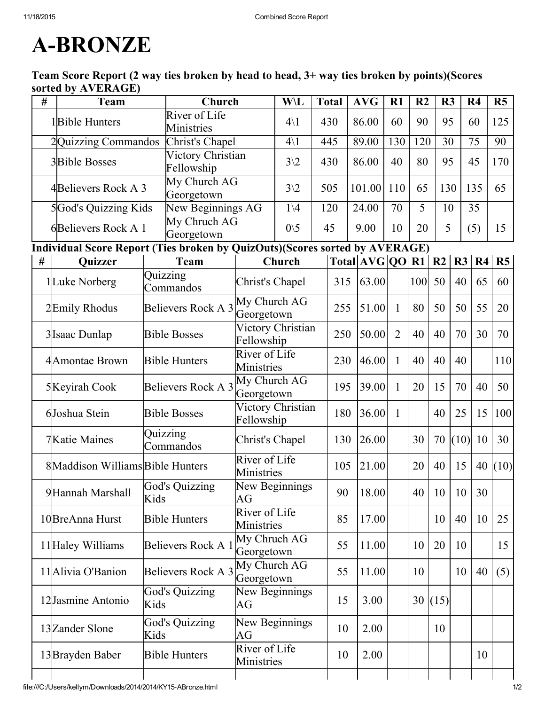## **A-BRONZE**

### Team Score Report (2 way ties broken by head to head, 3+ way ties broken by points)(Scores sorted by AVERAGE)

| # | <b>Team</b>                                                                 | Church                          |                                    | <b>W\L</b>      | <b>Total</b> |                    | <b>AVG</b> | R1             | R <sub>2</sub> | R3     |                 | R <sub>4</sub> | R5   |
|---|-----------------------------------------------------------------------------|---------------------------------|------------------------------------|-----------------|--------------|--------------------|------------|----------------|----------------|--------|-----------------|----------------|------|
|   | 1 <b>Bible Hunters</b>                                                      | River of Life<br>Ministries     |                                    | $4\backslash1$  | 430          |                    | 86.00      | 60             | 90             | 95     |                 | 60             | 125  |
|   | 2Quizzing Commandos                                                         | Christ's Chapel                 |                                    | $4\backslash1$  | 445          | $\overline{89.00}$ |            | 130            | 120            | 30     |                 | 75             | 90   |
|   | <b>3Bible Bosses</b>                                                        | Victory Christian<br>Fellowship |                                    | $3\sqrt{2}$     | 430          |                    | 86.00      | 40             | 80             | 95     |                 | 45             | 170  |
|   | 4Believers Rock A 3                                                         | My Church AG<br>Georgetown      |                                    | $3\sqrt{2}$     | 505          |                    | 101.00     | 110            | 65             | 130    |                 | 135            | 65   |
|   | 5God's Quizzing Kids                                                        | New Beginnings AG               |                                    | $1\backslash 4$ | 120          |                    | 24.00      | 70             | 5              | 10     | 35              |                |      |
|   | 6Believers Rock A 1                                                         | My Chruch AG<br>Georgetown      |                                    | $0\backslash 5$ | 45           |                    | 9.00       | 10             | 20             | 5      |                 | (5)            | 15   |
|   | Individual Score Report (Ties broken by QuizOuts)(Scores sorted by AVERAGE) |                                 |                                    |                 |              |                    |            |                |                |        |                 |                |      |
| # | <b>Quizzer</b>                                                              | Team                            |                                    | Church          |              |                    |            | Total AVG QO   | R1             | R2     | R3              | R4             | R5   |
|   | 1Luke Norberg                                                               | Quizzing<br>Commandos           | Christ's Chapel                    |                 | 315          |                    | 63.00      |                | 100            | 50     | 40              | 65             | 60   |
|   | 2Emily Rhodus                                                               | Believers Rock A 3              | My Church AG<br>Georgetown         |                 | 255          |                    | 51.00      | $\mathbf{1}$   | 80             | 50     | 50              | 55             | 20   |
|   | 3 Isaac Dunlap                                                              | <b>Bible Bosses</b>             | Victory Christian<br>Fellowship    |                 | 250          |                    | 50.00      | $\overline{2}$ | 40             | 40     | 70              | 30             | 70   |
|   | 4Amontae Brown                                                              | <b>Bible Hunters</b>            | River of Life<br>Ministries        |                 | 46.00<br>230 |                    |            | $\mathbf{1}$   | 40             | 40     | 40              |                | 110  |
|   | 5Keyirah Cook                                                               | Believers Rock A 3              | My Church AG<br>Georgetown         |                 | 195          |                    | 39.00      | $\mathbf{1}$   | 20             | 15     | 70              | 40             | 50   |
|   | 6Joshua Stein                                                               | <b>Bible Bosses</b>             | Victory Christian<br>Fellowship    |                 | 180          |                    | 36.00      | $\mathbf{1}$   |                | 40     | 25              | 15             | 100  |
|   | <b>7</b> Katie Maines                                                       | Quizzing<br>Commandos           | Christ's Chapel                    |                 | 130          |                    | 26.00      |                | 30             | 70     | (10)            | 10             | 30   |
|   | 8Maddison Williams Bible Hunters                                            |                                 | <b>River of Life</b><br>Ministries |                 | 105          |                    | 21.00      |                | 20             | 40     | 15              | 40             | (10) |
|   | 9Hannah Marshall                                                            | <b>God's Quizzing</b><br>Kids   | New Beginnings<br>AG               |                 | 90           |                    | 18.00      |                | 40             | 10     | 10 <sup>1</sup> | 30             |      |
|   | 10 BreAnna Hurst                                                            | <b>Bible Hunters</b>            | River of Life<br>Ministries        |                 | 85           |                    | 17.00      |                |                | 10     | 40              | 10             | 25   |
|   | 11 Haley Williams                                                           | Believers Rock A 1              | My Chruch AG<br>Georgetown         |                 | 55           |                    | 11.00      |                | 10             | 20     | 10              |                | 15   |
|   | 11 Alivia O'Banion                                                          | Believers Rock A 3              | My Church AG<br>Georgetown         |                 | 55           |                    | 11.00      |                | 10             |        | 10              | 40             | (5)  |
|   | 12 Jasmine Antonio                                                          | God's Quizzing<br>Kids          | New Beginnings<br>AG               |                 | 15           |                    | 3.00       |                |                | 30(15) |                 |                |      |
|   | 13 Zander Slone                                                             | <b>God's Quizzing</b><br>Kids   | New Beginnings<br>AG               |                 | 10           |                    | 2.00       |                |                | 10     |                 |                |      |
|   | 13 Brayden Baber                                                            | <b>Bible Hunters</b>            | River of Life<br>Ministries        |                 | 10           |                    | 2.00       |                |                |        |                 | 10             |      |
|   |                                                                             |                                 |                                    |                 |              |                    |            |                |                |        |                 |                |      |

file:///C:/Users/kellym/Downloads/2014/2014/KY15ABronze.html 1/2